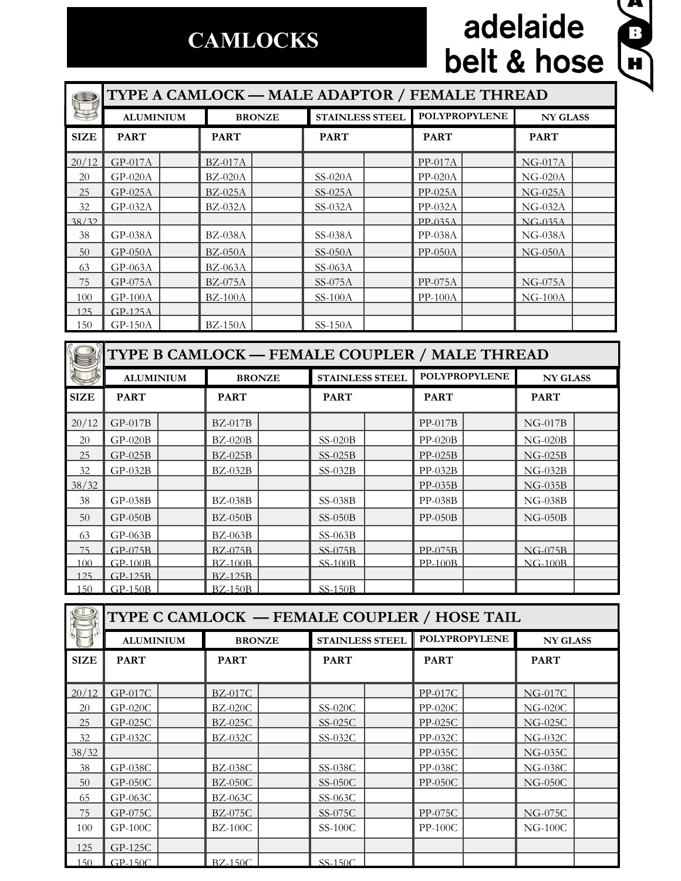## **CAMLOCKS**

# adelaide<br>belt & hose



|             | TYPE A CAMLOCK - MALE ADAPTOR / FEMALE THREAD |  |                |  |                        |  |                      |                 |  |
|-------------|-----------------------------------------------|--|----------------|--|------------------------|--|----------------------|-----------------|--|
|             | <b>ALUMINIUM</b>                              |  | <b>BRONZE</b>  |  | <b>STAINLESS STEEL</b> |  | <b>POLYPROPYLENE</b> | <b>NY GLASS</b> |  |
| <b>SIZE</b> | <b>PART</b>                                   |  | <b>PART</b>    |  | <b>PART</b>            |  | <b>PART</b>          | <b>PART</b>     |  |
| 20/12       | $GP-017A$                                     |  | $BZ-017A$      |  |                        |  | $PP-017A$            | $NG-017A$       |  |
| 20          | $GP-020A$                                     |  | $BZ-020A$      |  | $SS-020A$              |  | $PP-020A$            | $NG-020A$       |  |
| 25          | $GP-025A$                                     |  | $BZ-025A$      |  | $SS-025A$              |  | $PP-025A$            | $NG-025A$       |  |
| 32          | GP-032A                                       |  | $BZ-032A$      |  | $SS-032A$              |  | $PP-032A$            | $NG-032A$       |  |
| 38/32       |                                               |  |                |  |                        |  | $PP-035A$            | $NG-035A$       |  |
| 38          | GP-038A                                       |  | $BZ-038A$      |  | SS-038A                |  | PP-038A              | $NG-038A$       |  |
| 50          | $GP-050A$                                     |  | $BZ-050A$      |  | $SS-050A$              |  | $PP-050A$            | $NG-050A$       |  |
| 63          | $GP-063A$                                     |  | $BZ-063A$      |  | $SS-063A$              |  |                      |                 |  |
| 75          | $GP-075A$                                     |  | $BZ-075A$      |  | $SS-075A$              |  | PP-075A              | $NG-075A$       |  |
| 100         | $GP-100A$                                     |  | $BZ-100A$      |  | $SS-100A$              |  | $PP-100A$            | $NG-100A$       |  |
| 125         | GP-125A                                       |  |                |  |                        |  |                      |                 |  |
| 150         | $GP-150A$                                     |  | <b>BZ-150A</b> |  | $SS-150A$              |  |                      |                 |  |

|             | TYPE B CAMLOCK - FEMALE COUPLER / MALE THREAD |  |                |  |                        |  |                      |                 |  |
|-------------|-----------------------------------------------|--|----------------|--|------------------------|--|----------------------|-----------------|--|
|             | <b>ALUMINIUM</b>                              |  | <b>BRONZE</b>  |  | <b>STAINLESS STEEL</b> |  | <b>POLYPROPYLENE</b> | <b>NY GLASS</b> |  |
| <b>SIZE</b> | <b>PART</b>                                   |  | <b>PART</b>    |  | <b>PART</b>            |  | <b>PART</b>          | <b>PART</b>     |  |
| 20/12       | $GP-017B$                                     |  | $BZ-017B$      |  |                        |  | $PP-017B$            | $NG-017B$       |  |
| 20          | $GP-020B$                                     |  | $BZ-020B$      |  | $SS-020B$              |  | $PP-020B$            | $NG-020B$       |  |
| 25          | $GP-025B$                                     |  | $BZ-025B$      |  | $SS-025B$              |  | $PP-025B$            | $NG-025B$       |  |
| 32          | $GP-032B$                                     |  | $BZ-032B$      |  | $SS-032B$              |  | $PP-032B$            | $NG-032B$       |  |
| 38/32       |                                               |  |                |  |                        |  | $PP-035B$            | $NG-035B$       |  |
| 38          | $GP-038B$                                     |  | $BZ-038B$      |  | $SS-038B$              |  | $PP-038B$            | $NG-038B$       |  |
| 50          | $GP-050B$                                     |  | $BZ-050B$      |  | $SS-050B$              |  | $PP-050B$            | $NG-050B$       |  |
| 63          | $GP-063B$                                     |  | $BZ-063B$      |  | $SS-063B$              |  |                      |                 |  |
| 75          | $GP-075B$                                     |  | <b>BZ-075B</b> |  | SS-075B                |  | $PP-075B$            | $NG-075B$       |  |
| 100         | $GP-100B$                                     |  | <b>BZ-100B</b> |  | <b>SS-100B</b>         |  | <b>PP-100B</b>       | $NG-100B$       |  |
| 125         | $GP-125B$                                     |  | <b>BZ-125B</b> |  |                        |  |                      |                 |  |
| $150 -$     | $GP-150B$                                     |  | $BZ-150B$      |  | $SS-150B$              |  |                      |                 |  |

| TYPE C CAMLOCK — FEMALE COUPLER / HOSE TAIL |                  |  |                |  |                        |                      |  |                 |  |
|---------------------------------------------|------------------|--|----------------|--|------------------------|----------------------|--|-----------------|--|
|                                             | <b>ALUMINIUM</b> |  | <b>BRONZE</b>  |  | <b>STAINLESS STEEL</b> | <b>POLYPROPYLENE</b> |  | <b>NY GLASS</b> |  |
| <b>SIZE</b>                                 | <b>PART</b>      |  | <b>PART</b>    |  | <b>PART</b>            | <b>PART</b>          |  | <b>PART</b>     |  |
|                                             |                  |  |                |  |                        |                      |  |                 |  |
| 20/12                                       | $GP-017C$        |  | $BZ-017C$      |  |                        | $PP-017C$            |  | <b>NG-017C</b>  |  |
| 20                                          | $GP-020C$        |  | <b>BZ-020C</b> |  | SS-020C                | $PP-020C$            |  | $NG-020C$       |  |
| 25                                          | $GP-025C$        |  | <b>BZ-025C</b> |  | $SS-025C$              | $PP-025C$            |  | <b>NG-025C</b>  |  |
| 32                                          | $GP-032C$        |  | BZ-032C        |  | $SS-032C$              | $PP-032C$            |  | $NG-032C$       |  |
| 38/32                                       |                  |  |                |  |                        | PP-035C              |  | <b>NG-035C</b>  |  |
| 38                                          | GP-038C          |  | <b>BZ-038C</b> |  | SS-038C                | PP-038C              |  | <b>NG-038C</b>  |  |
| 50                                          | $GP-050C$        |  | $BZ-050C$      |  | $SS-050C$              | $PP-050C$            |  | $NG-050C$       |  |
| 65                                          | $GP-063C$        |  | $BZ-063C$      |  | $SS-063C$              |                      |  |                 |  |
| 75                                          | $GP-075C$        |  | $BZ-075C$      |  | SS-075C                | $PP-075C$            |  | <b>NG-075C</b>  |  |
| 100                                         | $GP-100C$        |  | $BZ-100C$      |  | $SS-100C$              | $PP-100C$            |  | $NG-100C$       |  |
| 125                                         | GP-125C          |  |                |  |                        |                      |  |                 |  |
| 150                                         | $GP-150C$        |  | $BZ-150C$      |  | $SS-150C$              |                      |  |                 |  |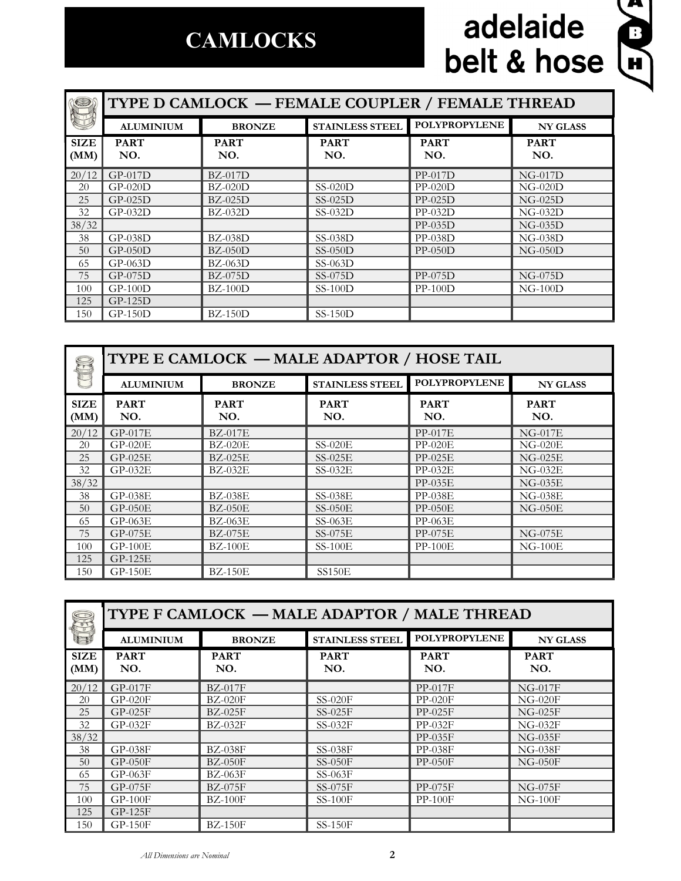### **CAMLOCKS**

# adelaide belt & hose



| O                   | TYPE D CAMLOCK — FEMALE COUPLER / FEMALE THREAD |                    |                        |                      |                    |  |  |  |
|---------------------|-------------------------------------------------|--------------------|------------------------|----------------------|--------------------|--|--|--|
|                     | <b>ALUMINIUM</b>                                | <b>BRONZE</b>      | <b>STAINLESS STEEL</b> | <b>POLYPROPYLENE</b> | <b>NY GLASS</b>    |  |  |  |
| <b>SIZE</b><br>(MM) | <b>PART</b><br>NO.                              | <b>PART</b><br>NO. | <b>PART</b><br>NO.     | <b>PART</b><br>NO.   | <b>PART</b><br>NO. |  |  |  |
| 20/12               | $GP-017D$                                       | $BZ-017D$          |                        | $PP-017D$            | $NG-017D$          |  |  |  |
| 20                  | $GP-020D$                                       | $BZ-020D$          | $SS-020D$              | $PP-020D$            | $NG-020D$          |  |  |  |
| 25                  | $GP-025D$                                       | $BZ-025D$          | $SS-025D$              | $PP-025D$            | $NG-025D$          |  |  |  |
| 32                  | $GP-032D$                                       | $BZ-032D$          | $SS-032D$              | $PP-032D$            | $NG-032D$          |  |  |  |
| 38/32               |                                                 |                    |                        | $PP-035D$            | $NG-035D$          |  |  |  |
| 38                  | $GP-038D$                                       | $BZ-038D$          | $SS-038D$              | $PP-038D$            | $NG-038D$          |  |  |  |
| 50                  | $GP-050D$                                       | $BZ-050D$          | $SS-050D$              | $PP-050D$            | $NG-050D$          |  |  |  |
| 65                  | $GP-063D$                                       | $BZ-063D$          | $SS-063D$              |                      |                    |  |  |  |
| 75                  | $GP-075D$                                       | $BZ-075D$          | $SS-075D$              | $PP-075D$            | $NG-075D$          |  |  |  |
| 100                 | $GP-100D$                                       | $BZ-100D$          | $SS-100D$              | $PP-100D$            | $NG-100D$          |  |  |  |
| 125                 | $GP-125D$                                       |                    |                        |                      |                    |  |  |  |
| 150                 | $GP-150D$                                       | $BZ-150D$          | $SS-150D$              |                      |                    |  |  |  |

|                     | TYPE E CAMLOCK - MALE ADAPTOR / HOSE TAIL |                    |                        |                      |                    |  |  |
|---------------------|-------------------------------------------|--------------------|------------------------|----------------------|--------------------|--|--|
|                     | <b>ALUMINIUM</b>                          | <b>BRONZE</b>      | <b>STAINLESS STEEL</b> | <b>POLYPROPYLENE</b> | <b>NY GLASS</b>    |  |  |
| <b>SIZE</b><br>(MM) | <b>PART</b><br>NO.                        | <b>PART</b><br>NO. | <b>PART</b><br>NO.     | <b>PART</b><br>NO.   | <b>PART</b><br>NO. |  |  |
| 20/12               | $GP-017E$                                 | <b>BZ-017E</b>     |                        | <b>PP-017E</b>       | $NG-017E$          |  |  |
| 20                  | $GP-020E$                                 | <b>BZ-020E</b>     | $SS-020E$              | $PP-020E$            | $NG-020E$          |  |  |
| 25                  | $GP-025E$                                 | $BZ-025E$          | $SS-025E$              | $PP-025E$            | $NG-025E$          |  |  |
| 32                  | $GP-032E$                                 | $BZ-032E$          | $SS-032E$              | $PP-032E$            | $NG-032E$          |  |  |
| 38/32               |                                           |                    |                        | $PP-035E$            | $NG-035E$          |  |  |
| 38                  | $GP-038E$                                 | <b>BZ-038E</b>     | $SS-038E$              | $PP-038E$            | $NG-038E$          |  |  |
| 50                  | $GP-050E$                                 | $BZ-050E$          | $SS-050E$              | $PP-050E$            | $NG-050E$          |  |  |
| 65                  | GP-063E                                   | $BZ-063E$          | $SS-063E$              | $PP-063E$            |                    |  |  |
| 75                  | GP-075E                                   | <b>BZ-075E</b>     | $SS-075E$              | PP-075E              | $NG-075E$          |  |  |
| 100                 | $GP-100E$                                 | $BZ-100E$          | $SS-100E$              | $PP-100E$            | $NG-100E$          |  |  |
| 125                 | $GP-125E$                                 |                    |                        |                      |                    |  |  |
| 150                 | $GP-150E$                                 | <b>BZ-150E</b>     | SS150E                 |                      |                    |  |  |

| S                   | TYPE F CAMLOCK — MALE ADAPTOR / MALE THREAD |                    |                        |                      |                    |  |  |  |
|---------------------|---------------------------------------------|--------------------|------------------------|----------------------|--------------------|--|--|--|
|                     | <b>ALUMINIUM</b>                            | <b>BRONZE</b>      | <b>STAINLESS STEEL</b> | <b>POLYPROPYLENE</b> | <b>NY GLASS</b>    |  |  |  |
| <b>SIZE</b><br>(MM) | <b>PART</b><br>NO.                          | <b>PART</b><br>NO. | <b>PART</b><br>NO.     | <b>PART</b><br>NO.   | <b>PART</b><br>NO. |  |  |  |
| 20/12               | GP-017F                                     | <b>BZ-017F</b>     |                        | $PP-017F$            | $NG-017F$          |  |  |  |
| 20                  | $GP-020F$                                   | $BZ-020F$          | $SS-020F$              | $PP-020F$            | $NG-020F$          |  |  |  |
| 25                  | $GP-025F$                                   | $BZ-025F$          | $SS-025F$              | $PP-025F$            | $NG-025F$          |  |  |  |
| 32                  | $GP-032F$                                   | $BZ-032F$          | $SS-032F$              | $PP-032F$            | $NG-032F$          |  |  |  |
| 38/32               |                                             |                    |                        | $PP-035F$            | $NG-035F$          |  |  |  |
| 38                  | $GP-038F$                                   | <b>BZ-038F</b>     | $SS-038F$              | $PP-038F$            | $NG-038F$          |  |  |  |
| 50                  | $GP-050F$                                   | $BZ-050F$          | $SS-050F$              | $PP-050F$            | $NG-050F$          |  |  |  |
| 65                  | $GP-063F$                                   | $BZ-063F$          | $SS-063F$              |                      |                    |  |  |  |
| 75                  | $GP-075F$                                   | <b>BZ-075F</b>     | $SS-075F$              | PP-075F              | $NG-075F$          |  |  |  |
| 100                 | $GP-100F$                                   | $BZ-100F$          | $SS-100F$              | $PP-100F$            | $NG-100F$          |  |  |  |
| 125                 | GP-125F                                     |                    |                        |                      |                    |  |  |  |
| 150                 | $GP-150F$                                   | $BZ-150F$          | $SS-150F$              |                      |                    |  |  |  |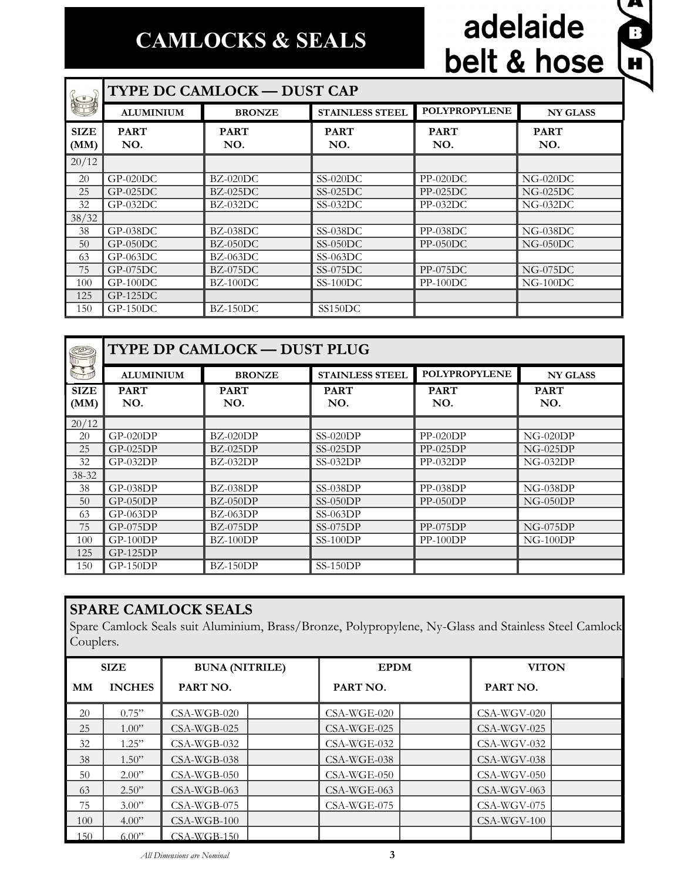#### **CAMLOCKS & SEALS**

# adelaide belt & hose

 $\sum_{i=1}^{n}$ 

|                     | <b>TYPE DC CAMLOCK - DUST CAP</b> |                    |                        |                      |                    |  |  |  |
|---------------------|-----------------------------------|--------------------|------------------------|----------------------|--------------------|--|--|--|
|                     | <b>ALUMINIUM</b>                  | <b>BRONZE</b>      | <b>STAINLESS STEEL</b> | <b>POLYPROPYLENE</b> | <b>NY GLASS</b>    |  |  |  |
| <b>SIZE</b><br>(MM) | <b>PART</b><br>NO.                | <b>PART</b><br>NO. | <b>PART</b><br>NO.     | <b>PART</b><br>NO.   | <b>PART</b><br>NO. |  |  |  |
| 20/12               |                                   |                    |                        |                      |                    |  |  |  |
| 20                  | $GP-020DC$                        | $BZ-020DC$         | $SS-020DC$             | $PP-020DC$           | $NG-020DC$         |  |  |  |
| 25                  | $GP-025DC$                        | $BZ-025DC$         | $SS-025DC$             | $PP-025DC$           | $NG-025DC$         |  |  |  |
| 32                  | $GP-032DC$                        | $BZ-032DC$         | $SS-032DC$             | $PP-032DC$           | $NG-032DC$         |  |  |  |
| 38/32               |                                   |                    |                        |                      |                    |  |  |  |
| 38                  | $GP-038DC$                        | BZ-038DC           | $SS-038DC$             | $PP-038DC$           | $NG-038DC$         |  |  |  |
| 50                  | $GP-050DC$                        | $BZ-050DC$         | $SS-050DC$             | $PP-050DC$           | $NG-050DC$         |  |  |  |
| 63                  | $GP-063DC$                        | $BZ-063DC$         | $SS-063DC$             |                      |                    |  |  |  |
| 75                  | $GP-075DC$                        | $BZ-075DC$         | $SS-075DC$             | $PP-075DC$           | $NG-075DC$         |  |  |  |
| 100                 | $GP-100DC$                        | $BZ-100DC$         | $SS-100DC$             | $PP-100DC$           | $NG-100DC$         |  |  |  |
| 125                 | $GP-125DC$                        |                    |                        |                      |                    |  |  |  |
| 150                 | $GP-150DC$                        | $BZ-150DC$         | SS150DC                |                      |                    |  |  |  |

| <b>CO</b>            | TYPE DP CAMLOCK - DUST PLUG |                    |                        |                      |                    |  |  |
|----------------------|-----------------------------|--------------------|------------------------|----------------------|--------------------|--|--|
| $\frac{1}{\sqrt{2}}$ | <b>ALUMINIUM</b>            | <b>BRONZE</b>      | <b>STAINLESS STEEL</b> | <b>POLYPROPYLENE</b> | <b>NY GLASS</b>    |  |  |
| <b>SIZE</b><br>(MM)  | <b>PART</b><br>NO.          | <b>PART</b><br>NO. | <b>PART</b><br>NO.     | <b>PART</b><br>NO.   | <b>PART</b><br>NO. |  |  |
| 20/12                |                             |                    |                        |                      |                    |  |  |
| 20                   | $GP-020DP$                  | $BZ-020DP$         | $SS-020DP$             | $PP-020DP$           | $NG-020DP$         |  |  |
| 25                   | $GP-025DP$                  | $BZ-025DP$         | $SS-025DP$             | $PP-025DP$           | $NG-025DP$         |  |  |
| 32                   | $GP-032DP$                  | $BZ-032DP$         | $SS-032DP$             | $PP-032DP$           | $NG-032DP$         |  |  |
| 38-32                |                             |                    |                        |                      |                    |  |  |
| 38                   | $GP-038DP$                  | $BZ-038DP$         | $SS-038DP$             | $PP-038DP$           | $NG-038DP$         |  |  |
| 50                   | $GP-050DP$                  | $BZ-050DP$         | $SS-050DP$             | $PP-050DP$           | $NG-050DP$         |  |  |
| 63                   | $GP-063DP$                  | $BZ-063DP$         | $SS-063DP$             |                      |                    |  |  |
| 75                   | $GP-075DP$                  | $BZ-075DP$         | $SS-075DP$             | $PP-075DP$           | $NG-075DP$         |  |  |
| 100                  | $GP-100DP$                  | $BZ-100DP$         | $SS-100DP$             | $PP-100DP$           | $NG-100DP$         |  |  |
| 125                  | $GP-125DP$                  |                    |                        |                      |                    |  |  |
| 150                  | $GP-150DP$                  | $BZ-150DP$         | $SS-150DP$             |                      |                    |  |  |

#### **SPARE CAMLOCK SEALS**

Spare Camlock Seals suit Aluminium, Brass/Bronze, Polypropylene, Ny-Glass and Stainless Steel Camlock Couplers.

| <b>SIZE</b> |               | <b>BUNA (NITRILE)</b> |  | <b>EPDM</b>   |  | <b>VITON</b>  |  |
|-------------|---------------|-----------------------|--|---------------|--|---------------|--|
| MМ          | <b>INCHES</b> | PART NO.              |  | PART NO.      |  | PART NO.      |  |
| 20          | 0.75"         | $CSA-WGB-020$         |  | $CSA-WGE-020$ |  | CSA-WGV-020   |  |
| 25          | 1.00"         | $CSA-WGB-025$         |  | $CSA-WGE-025$ |  | $CSA-WGV-025$ |  |
| 32          | 1.25"         | $CSA-WGB-032$         |  | $CSA-WGE-032$ |  | $CSA-WGV-032$ |  |
| 38          | 1.50"         | $CSA-WGB-038$         |  | $CSA-WGE-038$ |  | $CSA-WGV-038$ |  |
| 50          | 2.00"         | $CSA-WGB-050$         |  | $CSA-WGE-050$ |  | $CSA-WGV-050$ |  |
| 63          | 2.50"         | $CSA-WGB-063$         |  | $CSA-WGE-063$ |  | $CSA-WGV-063$ |  |
| 75          | 3.00"         | $CSA-WGB-075$         |  | $CSA-WGE-075$ |  | $CSA-WGV-075$ |  |
| 100         | 4.00"         | $CSA-WGB-100$         |  |               |  | $CSA-WGV-100$ |  |
| 150         | 6.00"         | $CSA-WGB-150$         |  |               |  |               |  |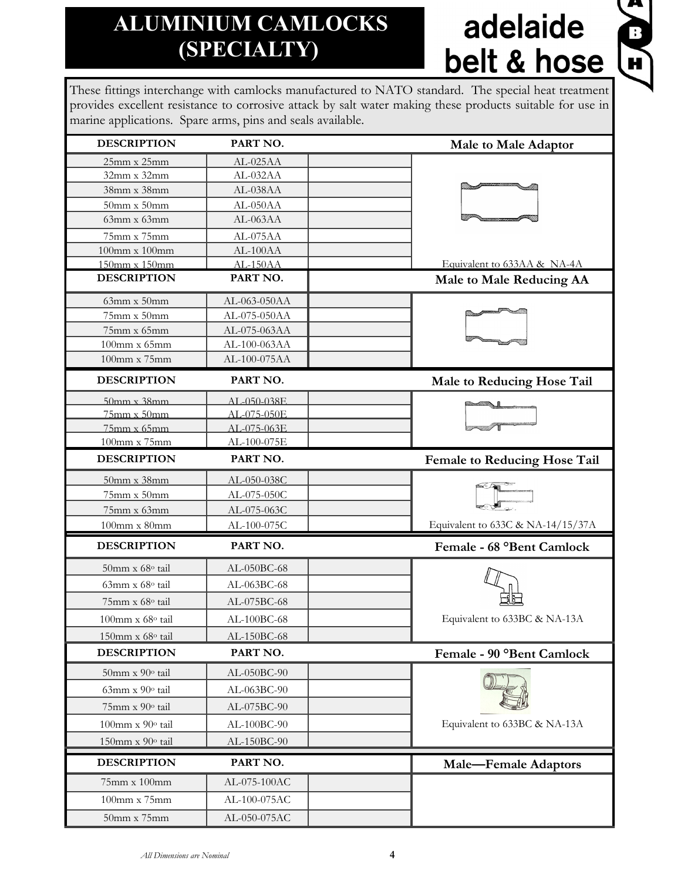#### **ALUMINIUM CAMLOCKS (SPECIALTY)**

# adelaide belt & hose



These fittings interchange with camlocks manufactured to NATO standard. The special heat treatment provides excellent resistance to corrosive attack by salt water making these products suitable for use in marine applications. Spare arms, pins and seals available.

| <b>DESCRIPTION</b>    | PART NO.      | <b>Male to Male Adaptor</b>         |
|-----------------------|---------------|-------------------------------------|
| 25mm x 25mm           | AL-025AA      |                                     |
| $32mm \times 32mm$    | AL-032AA      |                                     |
| 38mm x 38mm           | AL-038AA      |                                     |
| $50$ mm x $50$ mm     | AL-050AA      |                                     |
| $63mm \times 63mm$    | AL-063AA      |                                     |
| 75mm x 75mm           | AL-075AA      |                                     |
| 100mm x 100mm         | AL-100AA      |                                     |
| 150mm x 150mm         | $AL-150AA$    | Equivalent to 633AA & NA-4A         |
| <b>DESCRIPTION</b>    | PART NO.      | <b>Male to Male Reducing AA</b>     |
| $63$ mm x $50$ mm     | AL-063-050AA  |                                     |
| 75mm x 50mm           | AL-075-050AA  |                                     |
| 75mm x 65mm           | AL-075-063AA  |                                     |
| 100mm x 65mm          | AL-100-063AA  |                                     |
| 100mm x 75mm          | AL-100-075AA  |                                     |
| <b>DESCRIPTION</b>    | PART NO.      | Male to Reducing Hose Tail          |
| $50$ mm x $38$ mm     | AL-050-038E   |                                     |
| $75$ mm x $50$ mm     | AL-075-050E   |                                     |
| $75$ mm x $65$ mm     | AL-075-063E   |                                     |
| 100mm x 75mm          | AL-100-075E   |                                     |
| <b>DESCRIPTION</b>    | PART NO.      | <b>Female to Reducing Hose Tail</b> |
| 50mm x 38mm           | AL-050-038C   |                                     |
| 75mm x 50mm           | AL-075-050C   |                                     |
| 75mm x 63mm           | AL-075-063C   |                                     |
| $100$ mm x $80$ mm    | AL-100-075C   | Equivalent to 633C & NA-14/15/37A   |
| <b>DESCRIPTION</b>    | PART NO.      | Female - 68 °Bent Camlock           |
| 50mm x 68° tail       | AL-050BC-68   |                                     |
| 63mm x 68° tail       | AL-063BC-68   |                                     |
| 75mm x 68° tail       | AL-075BC-68   |                                     |
| 100mm x 68° tail      | $AL-100BC-68$ | Equivalent to 633BC & NA-13A        |
| 150mm x 68° tail      | AL-150BC-68   |                                     |
| <b>DESCRIPTION</b>    | PART NO.      | Female - 90 °Bent Camlock           |
| 50mm x 90° tail       | AL-050BC-90   |                                     |
| 63mm x 90° tail       | AL-063BC-90   |                                     |
| 75mm x 90° tail       | AL-075BC-90   |                                     |
| $100$ mm x $90°$ tail | AL-100BC-90   | Equivalent to 633BC & NA-13A        |
| 150mm x 90° tail      | AL-150BC-90   |                                     |
| <b>DESCRIPTION</b>    | PART NO.      | <b>Male-Female Adaptors</b>         |
| 75mm x 100mm          | AL-075-100AC  |                                     |
| 100mm x 75mm          | AL-100-075AC  |                                     |
| $50$ mm x $75$ mm     | AL-050-075AC  |                                     |
|                       |               |                                     |